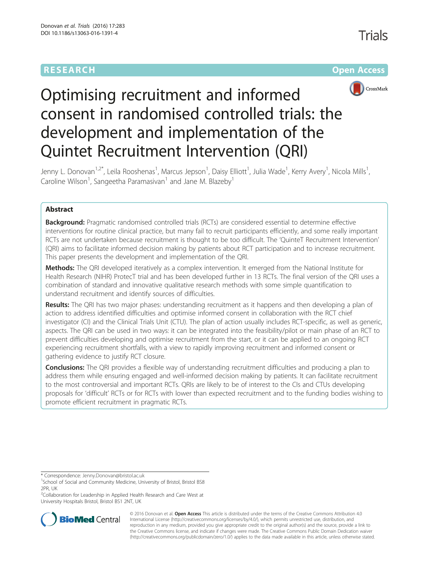# **RESEARCH CHEAR CHEAR CHEAR CHEAR CHEAR CHEAR CHEAR CHEAR CHEAP CHEAP CHEAP CHEAP CHEAP CHEAP CHEAP CHEAP CHEAP**





# Optimising recruitment and informed consent in randomised controlled trials: the development and implementation of the Quintet Recruitment Intervention (QRI)

Jenny L. Donovan<sup>1,2\*</sup>, Leila Rooshenas<sup>1</sup>, Marcus Jepson<sup>1</sup>, Daisy Elliott<sup>1</sup>, Julia Wade<sup>1</sup>, Kerry Avery<sup>1</sup>, Nicola Mills<sup>1</sup> , Caroline Wilson<sup>1</sup>, Sangeetha Paramasivan<sup>1</sup> and Jane M. Blazeby<sup>1</sup>

# Abstract

**Background:** Pragmatic randomised controlled trials (RCTs) are considered essential to determine effective interventions for routine clinical practice, but many fail to recruit participants efficiently, and some really important RCTs are not undertaken because recruitment is thought to be too difficult. The 'QuinteT Recruitment Intervention' (QRI) aims to facilitate informed decision making by patients about RCT participation and to increase recruitment. This paper presents the development and implementation of the QRI.

Methods: The QRI developed iteratively as a complex intervention. It emerged from the National Institute for Health Research (NIHR) ProtecT trial and has been developed further in 13 RCTs. The final version of the QRI uses a combination of standard and innovative qualitative research methods with some simple quantification to understand recruitment and identify sources of difficulties.

Results: The QRI has two major phases: understanding recruitment as it happens and then developing a plan of action to address identified difficulties and optimise informed consent in collaboration with the RCT chief investigator (CI) and the Clinical Trials Unit (CTU). The plan of action usually includes RCT-specific, as well as generic, aspects. The QRI can be used in two ways: it can be integrated into the feasibility/pilot or main phase of an RCT to prevent difficulties developing and optimise recruitment from the start, or it can be applied to an ongoing RCT experiencing recruitment shortfalls, with a view to rapidly improving recruitment and informed consent or gathering evidence to justify RCT closure.

Conclusions: The QRI provides a flexible way of understanding recruitment difficulties and producing a plan to address them while ensuring engaged and well-informed decision making by patients. It can facilitate recruitment to the most controversial and important RCTs. QRIs are likely to be of interest to the CIs and CTUs developing proposals for 'difficult' RCTs or for RCTs with lower than expected recruitment and to the funding bodies wishing to promote efficient recruitment in pragmatic RCTs.

\* Correspondence: [Jenny.Donovan@bristol.ac.uk](mailto:Jenny.Donovan@bristol.ac.uk) <sup>1</sup>

<sup>2</sup>Collaboration for Leadership in Applied Health Research and Care West at University Hospitals Bristol, Bristol BS1 2NT, UK



© 2016 Donovan et al. **Open Access** This article is distributed under the terms of the Creative Commons Attribution 4.0 International License [\(http://creativecommons.org/licenses/by/4.0/](http://creativecommons.org/licenses/by/4.0/)), which permits unrestricted use, distribution, and reproduction in any medium, provided you give appropriate credit to the original author(s) and the source, provide a link to the Creative Commons license, and indicate if changes were made. The Creative Commons Public Domain Dedication waiver [\(http://creativecommons.org/publicdomain/zero/1.0/](http://creativecommons.org/publicdomain/zero/1.0/)) applies to the data made available in this article, unless otherwise stated.

<sup>&</sup>lt;sup>1</sup>School of Social and Community Medicine, University of Bristol, Bristol BS8 2PR, UK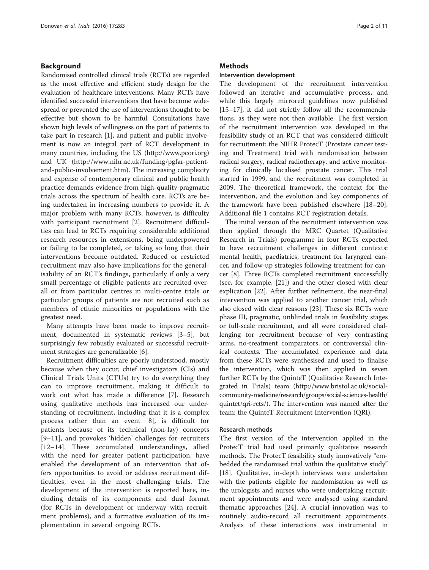### Background

Randomised controlled clinical trials (RCTs) are regarded as the most effective and efficient study design for the evaluation of healthcare interventions. Many RCTs have identified successful interventions that have become widespread or prevented the use of interventions thought to be effective but shown to be harmful. Consultations have shown high levels of willingness on the part of patients to take part in research [\[1](#page-9-0)], and patient and public involvement is now an integral part of RCT development in many countries, including the US ([http://www.pcori.org](http://www.pcori.org/)) and UK ([http://www.nihr.ac.uk/funding/pgfar-patient](http://www.nihr.ac.uk/funding/pgfar-patient-and-public-involvement.htm)[and-public-involvement.htm](http://www.nihr.ac.uk/funding/pgfar-patient-and-public-involvement.htm)). The increasing complexity and expense of contemporary clinical and public health practice demands evidence from high-quality pragmatic trials across the spectrum of health care. RCTs are being undertaken in increasing numbers to provide it. A major problem with many RCTs, however, is difficulty with participant recruitment [[2\]](#page-10-0). Recruitment difficulties can lead to RCTs requiring considerable additional research resources in extensions, being underpowered or failing to be completed, or taking so long that their interventions become outdated. Reduced or restricted recruitment may also have implications for the generalisability of an RCT's findings, particularly if only a very small percentage of eligible patients are recruited overall or from particular centres in multi-centre trials or particular groups of patients are not recruited such as members of ethnic minorities or populations with the greatest need.

Many attempts have been made to improve recruitment, documented in systematic reviews [[3](#page-10-0)–[5\]](#page-10-0), but surprisingly few robustly evaluated or successful recruitment strategies are generalizable [\[6](#page-10-0)].

Recruitment difficulties are poorly understood, mostly because when they occur, chief investigators (CIs) and Clinical Trials Units (CTUs) try to do everything they can to improve recruitment, making it difficult to work out what has made a difference [\[7](#page-10-0)]. Research using qualitative methods has increased our understanding of recruitment, including that it is a complex process rather than an event [\[8](#page-10-0)], is difficult for patients because of its technical (non-lay) concepts [[9](#page-10-0)–[11\]](#page-10-0), and provokes 'hidden' challenges for recruiters [[12](#page-10-0)–[14\]](#page-10-0). These accumulated understandings, allied with the need for greater patient participation, have enabled the development of an intervention that offers opportunities to avoid or address recruitment difficulties, even in the most challenging trials. The development of the intervention is reported here, including details of its components and dual format (for RCTs in development or underway with recruitment problems), and a formative evaluation of its implementation in several ongoing RCTs.

#### **Methods**

#### Intervention development

The development of the recruitment intervention followed an iterative and accumulative process, and while this largely mirrored guidelines now published [[15](#page-10-0)–[17](#page-10-0)], it did not strictly follow all the recommendations, as they were not then available. The first version of the recruitment intervention was developed in the feasibility study of an RCT that was considered difficult for recruitment: the NIHR ProtecT (Prostate cancer testing and Treatment) trial with randomisation between radical surgery, radical radiotherapy, and active monitoring for clinically localised prostate cancer. This trial started in 1999, and the recruitment was completed in 2009. The theoretical framework, the context for the intervention, and the evolution and key components of the framework have been published elsewhere [[18](#page-10-0)–[20](#page-10-0)]. Additional file [1](#page-9-0) contains RCT registration details.

The initial version of the recruitment intervention was then applied through the MRC Quartet (Qualitative Research in Trials) programme in four RCTs expected to have recruitment challenges in different contexts: mental health, paediatrics, treatment for laryngeal cancer, and follow-up strategies following treatment for cancer [\[8\]](#page-10-0). Three RCTs completed recruitment successfully (see, for example, [[21\]](#page-10-0)) and the other closed with clear explication [\[22](#page-10-0)]. After further refinement, the near-final intervention was applied to another cancer trial, which also closed with clear reasons [\[23](#page-10-0)]. These six RCTs were phase III, pragmatic, unblinded trials in feasibility stages or full-scale recruitment, and all were considered challenging for recruitment because of very contrasting arms, no-treatment comparators, or controversial clinical contexts. The accumulated experience and data from these RCTs were synthesised and used to finalise the intervention, which was then applied in seven further RCTs by the QuinteT (Qualitative Research Integrated in Trials) team [\(http://www.bristol.ac.uk/social](http://www.bristol.ac.uk/social-community-medicine/research/groups/social-sciences-health/quintet/qri-rcts/)[community-medicine/research/groups/social-sciences-health/](http://www.bristol.ac.uk/social-community-medicine/research/groups/social-sciences-health/quintet/qri-rcts/) [quintet/qri-rcts/\)](http://www.bristol.ac.uk/social-community-medicine/research/groups/social-sciences-health/quintet/qri-rcts/). The intervention was named after the team: the QuinteT Recruitment Intervention (QRI).

#### Research methods

The first version of the intervention applied in the ProtecT trial had used primarily qualitative research methods. The ProtecT feasibility study innovatively "embedded the randomised trial within the qualitative study" [[18\]](#page-10-0). Qualitative, in-depth interviews were undertaken with the patients eligible for randomisation as well as the urologists and nurses who were undertaking recruitment appointments and were analysed using standard thematic approaches [[24\]](#page-10-0). A crucial innovation was to routinely audio-record all recruitment appointments. Analysis of these interactions was instrumental in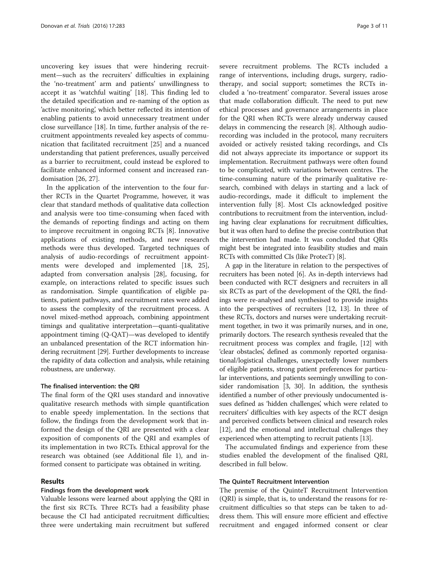uncovering key issues that were hindering recruitment—such as the recruiters' difficulties in explaining the 'no-treatment' arm and patients' unwillingness to accept it as 'watchful waiting' [\[18](#page-10-0)]. This finding led to the detailed specification and re-naming of the option as 'active monitoring', which better reflected its intention of enabling patients to avoid unnecessary treatment under close surveillance [\[18\]](#page-10-0). In time, further analysis of the recruitment appointments revealed key aspects of communication that facilitated recruitment [\[25](#page-10-0)] and a nuanced understanding that patient preferences, usually perceived as a barrier to recruitment, could instead be explored to facilitate enhanced informed consent and increased randomisation [\[26](#page-10-0), [27](#page-10-0)].

In the application of the intervention to the four further RCTs in the Quartet Programme, however, it was clear that standard methods of qualitative data collection and analysis were too time-consuming when faced with the demands of reporting findings and acting on them to improve recruitment in ongoing RCTs [\[8](#page-10-0)]. Innovative applications of existing methods, and new research methods were thus developed. Targeted techniques of analysis of audio-recordings of recruitment appointments were developed and implemented [\[18](#page-10-0), [25](#page-10-0)], adapted from conversation analysis [[28](#page-10-0)], focusing, for example, on interactions related to specific issues such as randomisation. Simple quantification of eligible patients, patient pathways, and recruitment rates were added to assess the complexity of the recruitment process. A novel mixed-method approach, combining appointment timings and qualitative interpretation—quanti-qualitative appointment timing (Q-QAT)—was developed to identify an unbalanced presentation of the RCT information hindering recruitment [\[29\]](#page-10-0). Further developments to increase the rapidity of data collection and analysis, while retaining robustness, are underway.

#### The finalised intervention: the QRI

The final form of the QRI uses standard and innovative qualitative research methods with simple quantification to enable speedy implementation. In the sections that follow, the findings from the development work that informed the design of the QRI are presented with a clear exposition of components of the QRI and examples of its implementation in two RCTs. Ethical approval for the research was obtained (see Additional file [1](#page-9-0)), and informed consent to participate was obtained in writing.

#### Results

#### Findings from the development work

Valuable lessons were learned about applying the QRI in the first six RCTs. Three RCTs had a feasibility phase because the CI had anticipated recruitment difficulties; three were undertaking main recruitment but suffered severe recruitment problems. The RCTs included a range of interventions, including drugs, surgery, radiotherapy, and social support; sometimes the RCTs included a 'no-treatment' comparator. Several issues arose that made collaboration difficult. The need to put new ethical processes and governance arrangements in place for the QRI when RCTs were already underway caused delays in commencing the research [\[8\]](#page-10-0). Although audiorecording was included in the protocol, many recruiters avoided or actively resisted taking recordings, and CIs did not always appreciate its importance or support its implementation. Recruitment pathways were often found to be complicated, with variations between centres. The time-consuming nature of the primarily qualitative research, combined with delays in starting and a lack of audio-recordings, made it difficult to implement the intervention fully [\[8](#page-10-0)]. Most CIs acknowledged positive contributions to recruitment from the intervention, including having clear explanations for recruitment difficulties, but it was often hard to define the precise contribution that the intervention had made. It was concluded that QRIs might best be integrated into feasibility studies and main RCTs with committed CIs (like ProtecT) [[8](#page-10-0)].

A gap in the literature in relation to the perspectives of recruiters has been noted [[6\]](#page-10-0). As in-depth interviews had been conducted with RCT designers and recruiters in all six RCTs as part of the development of the QRI, the findings were re-analysed and synthesised to provide insights into the perspectives of recruiters [[12](#page-10-0), [13\]](#page-10-0). In three of these RCTs, doctors and nurses were undertaking recruitment together, in two it was primarily nurses, and in one, primarily doctors. The research synthesis revealed that the recruitment process was complex and fragile, [[12](#page-10-0)] with 'clear obstacles', defined as commonly reported organisational/logistical challenges, unexpectedly lower numbers of eligible patients, strong patient preferences for particular interventions, and patients seemingly unwilling to consider randomisation [\[3](#page-10-0), [30\]](#page-10-0). In addition, the synthesis identified a number of other previously undocumented issues defined as 'hidden challenges', which were related to recruiters' difficulties with key aspects of the RCT design and perceived conflicts between clinical and research roles [[12](#page-10-0)], and the emotional and intellectual challenges they experienced when attempting to recruit patients [\[13\]](#page-10-0).

The accumulated findings and experience from these studies enabled the development of the finalised QRI, described in full below.

#### The QuinteT Recruitment Intervention

The premise of the QuinteT Recruitment Intervention (QRI) is simple, that is, to understand the reasons for recruitment difficulties so that steps can be taken to address them. This will ensure more efficient and effective recruitment and engaged informed consent or clear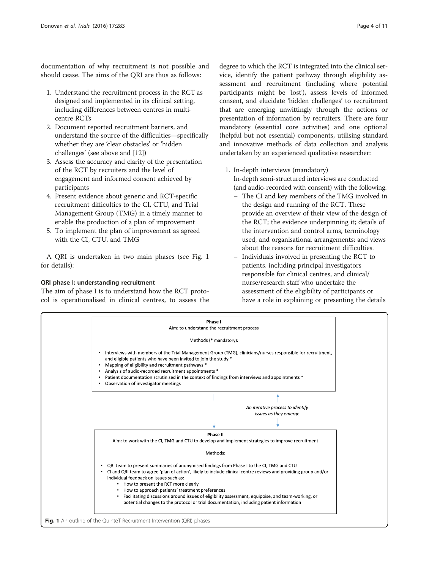documentation of why recruitment is not possible and should cease. The aims of the QRI are thus as follows:

- 1. Understand the recruitment process in the RCT as designed and implemented in its clinical setting, including differences between centres in multicentre RCTs
- 2. Document reported recruitment barriers, and understand the source of the difficulties—specifically whether they are 'clear obstacles' or 'hidden challenges' (see above and [\[12](#page-10-0)])
- 3. Assess the accuracy and clarity of the presentation of the RCT by recruiters and the level of engagement and informed consent achieved by participants
- 4. Present evidence about generic and RCT-specific recruitment difficulties to the CI, CTU, and Trial Management Group (TMG) in a timely manner to enable the production of a plan of improvement
- 5. To implement the plan of improvement as agreed with the CI, CTU, and TMG

A QRI is undertaken in two main phases (see Fig. 1 for details):

### QRI phase I: understanding recruitment

The aim of phase I is to understand how the RCT protocol is operationalised in clinical centres, to assess the

degree to which the RCT is integrated into the clinical service, identify the patient pathway through eligibility assessment and recruitment (including where potential participants might be 'lost'), assess levels of informed consent, and elucidate 'hidden challenges' to recruitment that are emerging unwittingly through the actions or presentation of information by recruiters. There are four mandatory (essential core activities) and one optional (helpful but not essential) components, utilising standard and innovative methods of data collection and analysis undertaken by an experienced qualitative researcher:

- 1. In-depth interviews (mandatory) In-depth semi-structured interviews are conducted (and audio-recorded with consent) with the following:
	- The CI and key members of the TMG involved in the design and running of the RCT. These provide an overview of their view of the design of the RCT; the evidence underpinning it; details of the intervention and control arms, terminology used, and organisational arrangements; and views about the reasons for recruitment difficulties.
	- Individuals involved in presenting the RCT to patients, including principal investigators responsible for clinical centres, and clinical/ nurse/research staff who undertake the assessment of the eligibility of participants or have a role in explaining or presenting the details

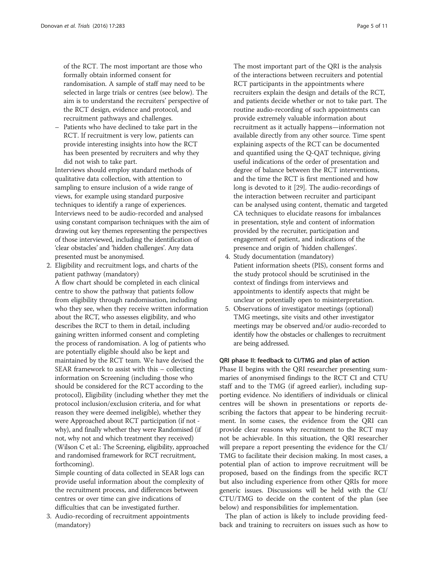of the RCT. The most important are those who formally obtain informed consent for randomisation. A sample of staff may need to be selected in large trials or centres (see below). The aim is to understand the recruiters' perspective of the RCT design, evidence and protocol, and recruitment pathways and challenges.

– Patients who have declined to take part in the RCT. If recruitment is very low, patients can provide interesting insights into how the RCT has been presented by recruiters and why they did not wish to take part.

Interviews should employ standard methods of qualitative data collection, with attention to sampling to ensure inclusion of a wide range of views, for example using standard purposive techniques to identify a range of experiences. Interviews need to be audio-recorded and analysed using constant comparison techniques with the aim of drawing out key themes representing the perspectives of those interviewed, including the identification of 'clear obstacles' and 'hidden challenges'. Any data presented must be anonymised.

- 2. Eligibility and recruitment logs, and charts of the patient pathway (mandatory)
	- A flow chart should be completed in each clinical centre to show the pathway that patients follow from eligibility through randomisation, including who they see, when they receive written information about the RCT, who assesses eligibility, and who describes the RCT to them in detail, including gaining written informed consent and completing the process of randomisation. A log of patients who are potentially eligible should also be kept and maintained by the RCT team. We have devised the SEAR framework to assist with this – collecting information on Screening (including those who should be considered for the RCT according to the protocol), Eligibility (including whether they met the protocol inclusion/exclusion criteria, and for what reason they were deemed ineligible), whether they were Approached about RCT participation (if not why), and finally whether they were Randomised (if not, why not and which treatment they received) (Wilson C et al.: The Screening, eligibility, approached and randomised framework for RCT recruitment, forthcoming).

Simple counting of data collected in SEAR logs can provide useful information about the complexity of the recruitment process, and differences between centres or over time can give indications of difficulties that can be investigated further.

3. Audio-recording of recruitment appointments (mandatory)

The most important part of the QRI is the analysis of the interactions between recruiters and potential RCT participants in the appointments where recruiters explain the design and details of the RCT, and patients decide whether or not to take part. The routine audio-recording of such appointments can provide extremely valuable information about recruitment as it actually happens—information not available directly from any other source. Time spent explaining aspects of the RCT can be documented and quantified using the Q-QAT technique, giving useful indications of the order of presentation and degree of balance between the RCT interventions, and the time the RCT is first mentioned and how long is devoted to it [\[29\]](#page-10-0). The audio-recordings of the interaction between recruiter and participant can be analysed using content, thematic and targeted CA techniques to elucidate reasons for imbalances in presentation, style and content of information provided by the recruiter, participation and engagement of patient, and indications of the presence and origin of 'hidden challenges'.

- 4. Study documentation (mandatory) Patient information sheets (PIS), consent forms and the study protocol should be scrutinised in the context of findings from interviews and appointments to identify aspects that might be unclear or potentially open to misinterpretation.
- 5. Observations of investigator meetings (optional) TMG meetings, site visits and other investigator meetings may be observed and/or audio-recorded to identify how the obstacles or challenges to recruitment are being addressed.

# QRI phase II: feedback to CI/TMG and plan of action

Phase II begins with the QRI researcher presenting summaries of anonymised findings to the RCT CI and CTU staff and to the TMG (if agreed earlier), including supporting evidence. No identifiers of individuals or clinical centres will be shown in presentations or reports describing the factors that appear to be hindering recruitment. In some cases, the evidence from the QRI can provide clear reasons why recruitment to the RCT may not be achievable. In this situation, the QRI researcher will prepare a report presenting the evidence for the CI/ TMG to facilitate their decision making. In most cases, a potential plan of action to improve recruitment will be proposed, based on the findings from the specific RCT but also including experience from other QRIs for more generic issues. Discussions will be held with the CI/ CTU/TMG to decide on the content of the plan (see below) and responsibilities for implementation.

The plan of action is likely to include providing feedback and training to recruiters on issues such as how to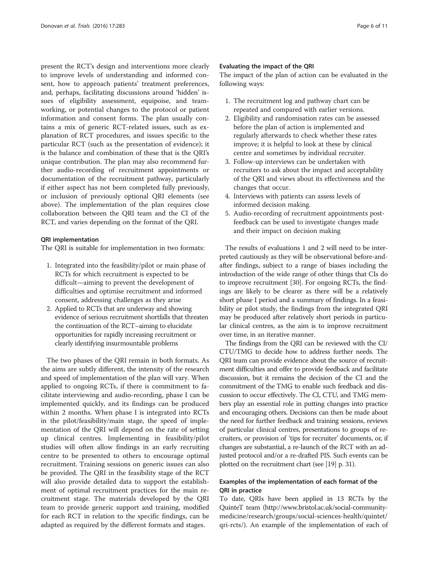present the RCT's design and interventions more clearly to improve levels of understanding and informed consent, how to approach patients' treatment preferences, and, perhaps, facilitating discussions around 'hidden' issues of eligibility assessment, equipoise, and teamworking, or potential changes to the protocol or patient information and consent forms. The plan usually contains a mix of generic RCT-related issues, such as explanation of RCT procedures, and issues specific to the particular RCT (such as the presentation of evidence); it is the balance and combination of these that is the QRI's unique contribution. The plan may also recommend further audio-recording of recruitment appointments or documentation of the recruitment pathway, particularly if either aspect has not been completed fully previously, or inclusion of previously optional QRI elements (see above). The implementation of the plan requires close collaboration between the QRI team and the CI of the RCT, and varies depending on the format of the QRI.

#### QRI implementation

The QRI is suitable for implementation in two formats:

- 1. Integrated into the feasibility/pilot or main phase of RCTs for which recruitment is expected to be difficult—aiming to prevent the development of difficulties and optimise recruitment and informed consent, addressing challenges as they arise
- 2. Applied to RCTs that are underway and showing evidence of serious recruitment shortfalls that threaten the continuation of the RCT–aiming to elucidate opportunities for rapidly increasing recruitment or clearly identifying insurmountable problems

The two phases of the QRI remain in both formats. As the aims are subtly different, the intensity of the research and speed of implementation of the plan will vary. When applied to ongoing RCTs, if there is commitment to facilitate interviewing and audio-recording, phase I can be implemented quickly, and its findings can be produced within 2 months. When phase I is integrated into RCTs in the pilot/feasibility/main stage, the speed of implementation of the QRI will depend on the rate of setting up clinical centres. Implementing in feasibility/pilot studies will often allow findings in an early recruiting centre to be presented to others to encourage optimal recruitment. Training sessions on generic issues can also be provided. The QRI in the feasibility stage of the RCT will also provide detailed data to support the establishment of optimal recruitment practices for the main recruitment stage. The materials developed by the QRI team to provide generic support and training, modified for each RCT in relation to the specific findings, can be adapted as required by the different formats and stages.

#### Evaluating the impact of the QRI

The impact of the plan of action can be evaluated in the following ways:

- 1. The recruitment log and pathway chart can be repeated and compared with earlier versions.
- 2. Eligibility and randomisation rates can be assessed before the plan of action is implemented and regularly afterwards to check whether these rates improve; it is helpful to look at these by clinical centre and sometimes by individual recruiter.
- 3. Follow-up interviews can be undertaken with recruiters to ask about the impact and acceptability of the QRI and views about its effectiveness and the changes that occur.
- 4. Interviews with patients can assess levels of informed decision making.
- 5. Audio-recording of recruitment appointments postfeedback can be used to investigate changes made and their impact on decision making

The results of evaluations 1 and 2 will need to be interpreted cautiously as they will be observational before-andafter findings, subject to a range of biases including the introduction of the wide range of other things that CIs do to improve recruitment [[30\]](#page-10-0). For ongoing RCTs, the findings are likely to be clearer as there will be a relatively short phase I period and a summary of findings. In a feasibility or pilot study, the findings from the integrated QRI may be produced after relatively short periods in particular clinical centres, as the aim is to improve recruitment over time, in an iterative manner.

The findings from the QRI can be reviewed with the CI/ CTU/TMG to decide how to address further needs. The QRI team can provide evidence about the source of recruitment difficulties and offer to provide feedback and facilitate discussion, but it remains the decision of the CI and the commitment of the TMG to enable such feedback and discussion to occur effectively. The CI, CTU, and TMG members play an essential role in putting changes into practice and encouraging others. Decisions can then be made about the need for further feedback and training sessions, reviews of particular clinical centres, presentations to groups of recruiters, or provision of 'tips for recruiter' documents, or, if changes are substantial, a re-launch of the RCT with an adjusted protocol and/or a re-drafted PIS. Such events can be plotted on the recruitment chart (see [\[19](#page-10-0)] p. 31).

# Examples of the implementation of each format of the QRI in practice

To date, QRIs have been applied in 13 RCTs by the QuinteT team [\(http://www.bristol.ac.uk/social-community](http://www.bristol.ac.uk/social-community-medicine/research/groups/social-sciences-health/quintet/qri-rcts/)[medicine/research/groups/social-sciences-health/quintet/](http://www.bristol.ac.uk/social-community-medicine/research/groups/social-sciences-health/quintet/qri-rcts/) [qri-rcts/](http://www.bristol.ac.uk/social-community-medicine/research/groups/social-sciences-health/quintet/qri-rcts/)). An example of the implementation of each of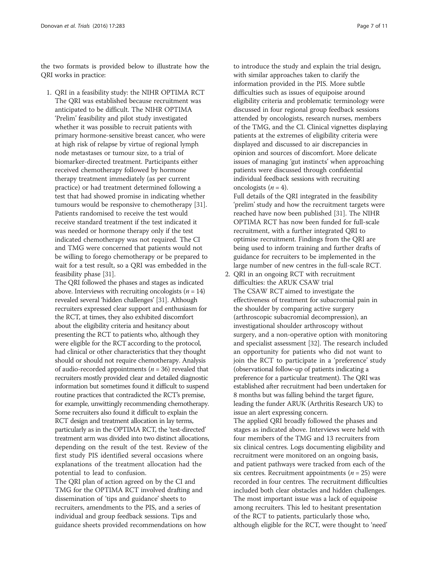the two formats is provided below to illustrate how the QRI works in practice:

1. QRI in a feasibility study: the NIHR OPTIMA RCT The QRI was established because recruitment was anticipated to be difficult. The NIHR OPTIMA 'Prelim' feasibility and pilot study investigated whether it was possible to recruit patients with primary hormone-sensitive breast cancer, who were at high risk of relapse by virtue of regional lymph node metastases or tumour size, to a trial of biomarker-directed treatment. Participants either received chemotherapy followed by hormone therapy treatment immediately (as per current practice) or had treatment determined following a test that had showed promise in indicating whether tumours would be responsive to chemotherapy [[31](#page-10-0)]. Patients randomised to receive the test would receive standard treatment if the test indicated it was needed or hormone therapy only if the test indicated chemotherapy was not required. The CI and TMG were concerned that patients would not be willing to forego chemotherapy or be prepared to wait for a test result, so a QRI was embedded in the feasibility phase [[31](#page-10-0)].

The QRI followed the phases and stages as indicated above. Interviews with recruiting oncologists  $(n = 14)$ revealed several 'hidden challenges' [[31](#page-10-0)]. Although recruiters expressed clear support and enthusiasm for the RCT, at times, they also exhibited discomfort about the eligibility criteria and hesitancy about presenting the RCT to patients who, although they were eligible for the RCT according to the protocol, had clinical or other characteristics that they thought should or should not require chemotherapy. Analysis of audio-recorded appointments ( $n = 36$ ) revealed that recruiters mostly provided clear and detailed diagnostic information but sometimes found it difficult to suspend routine practices that contradicted the RCT's premise, for example, unwittingly recommending chemotherapy. Some recruiters also found it difficult to explain the RCT design and treatment allocation in lay terms, particularly as in the OPTIMA RCT, the 'test-directed' treatment arm was divided into two distinct allocations, depending on the result of the test. Review of the first study PIS identified several occasions where explanations of the treatment allocation had the potential to lead to confusion.

The QRI plan of action agreed on by the CI and TMG for the OPTIMA RCT involved drafting and dissemination of 'tips and guidance' sheets to recruiters, amendments to the PIS, and a series of individual and group feedback sessions. Tips and guidance sheets provided recommendations on how

to introduce the study and explain the trial design, with similar approaches taken to clarify the information provided in the PIS. More subtle difficulties such as issues of equipoise around eligibility criteria and problematic terminology were discussed in four regional group feedback sessions attended by oncologists, research nurses, members of the TMG, and the CI. Clinical vignettes displaying patients at the extremes of eligibility criteria were displayed and discussed to air discrepancies in opinion and sources of discomfort. More delicate issues of managing 'gut instincts' when approaching patients were discussed through confidential individual feedback sessions with recruiting oncologists  $(n = 4)$ .

Full details of the QRI integrated in the feasibility 'prelim' study and how the recruitment targets were reached have now been published [[31](#page-10-0)]. The NIHR OPTIMA RCT has now been funded for full-scale recruitment, with a further integrated QRI to optimise recruitment. Findings from the QRI are being used to inform training and further drafts of guidance for recruiters to be implemented in the large number of new centres in the full-scale RCT.

2. QRI in an ongoing RCT with recruitment difficulties: the ARUK CSAW trial The CSAW RCT aimed to investigate the effectiveness of treatment for subacromial pain in the shoulder by comparing active surgery (arthroscopic subacromial decompression), an investigational shoulder arthroscopy without surgery, and a non-operative option with monitoring and specialist assessment [\[32\]](#page-10-0). The research included an opportunity for patients who did not want to join the RCT to participate in a 'preference' study (observational follow-up of patients indicating a preference for a particular treatment). The QRI was established after recruitment had been undertaken for 8 months but was falling behind the target figure, leading the funder ARUK (Arthritis Research UK) to issue an alert expressing concern.

The applied QRI broadly followed the phases and stages as indicated above. Interviews were held with four members of the TMG and 13 recruiters from six clinical centres. Logs documenting eligibility and recruitment were monitored on an ongoing basis, and patient pathways were tracked from each of the six centres. Recruitment appointments ( $n = 25$ ) were recorded in four centres. The recruitment difficulties included both clear obstacles and hidden challenges. The most important issue was a lack of equipoise among recruiters. This led to hesitant presentation of the RCT to patients, particularly those who, although eligible for the RCT, were thought to 'need'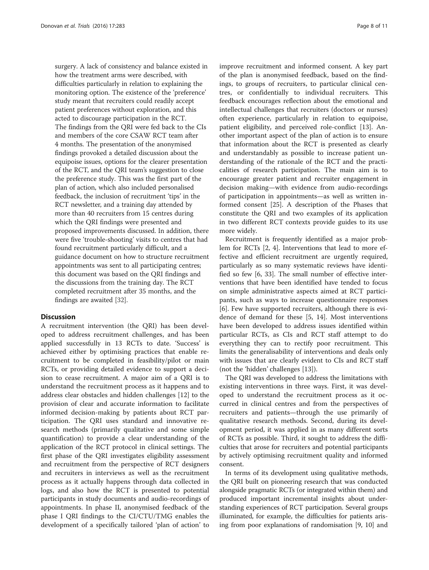surgery. A lack of consistency and balance existed in how the treatment arms were described, with difficulties particularly in relation to explaining the monitoring option. The existence of the 'preference' study meant that recruiters could readily accept patient preferences without exploration, and this acted to discourage participation in the RCT. The findings from the QRI were fed back to the CIs and members of the core CSAW RCT team after 4 months. The presentation of the anonymised findings provoked a detailed discussion about the equipoise issues, options for the clearer presentation of the RCT, and the QRI team's suggestion to close the preference study. This was the first part of the plan of action, which also included personalised feedback, the inclusion of recruitment 'tips' in the RCT newsletter, and a training day attended by more than 40 recruiters from 15 centres during which the QRI findings were presented and proposed improvements discussed. In addition, there were five 'trouble-shooting' visits to centres that had found recruitment particularly difficult, and a guidance document on how to structure recruitment appointments was sent to all participating centres; this document was based on the QRI findings and the discussions from the training day. The RCT completed recruitment after 35 months, and the findings are awaited [[32](#page-10-0)].

#### **Discussion**

A recruitment intervention (the QRI) has been developed to address recruitment challenges, and has been applied successfully in 13 RCTs to date. 'Success' is achieved either by optimising practices that enable recruitment to be completed in feasibility/pilot or main RCTs, or providing detailed evidence to support a decision to cease recruitment. A major aim of a QRI is to understand the recruitment process as it happens and to address clear obstacles and hidden challenges [\[12\]](#page-10-0) to the provision of clear and accurate information to facilitate informed decision-making by patients about RCT participation. The QRI uses standard and innovative research methods (primarily qualitative and some simple quantification) to provide a clear understanding of the application of the RCT protocol in clinical settings. The first phase of the QRI investigates eligibility assessment and recruitment from the perspective of RCT designers and recruiters in interviews as well as the recruitment process as it actually happens through data collected in logs, and also how the RCT is presented to potential participants in study documents and audio-recordings of appointments. In phase II, anonymised feedback of the phase I QRI findings to the CI/CTU/TMG enables the development of a specifically tailored 'plan of action' to

improve recruitment and informed consent. A key part of the plan is anonymised feedback, based on the findings, to groups of recruiters, to particular clinical centres, or confidentially to individual recruiters. This feedback encourages reflection about the emotional and intellectual challenges that recruiters (doctors or nurses) often experience, particularly in relation to equipoise, patient eligibility, and perceived role-conflict [[13\]](#page-10-0). Another important aspect of the plan of action is to ensure that information about the RCT is presented as clearly and understandably as possible to increase patient understanding of the rationale of the RCT and the practicalities of research participation. The main aim is to encourage greater patient and recruiter engagement in decision making—with evidence from audio-recordings of participation in appointments—as well as written informed consent [\[25](#page-10-0)]. A description of the Phases that constitute the QRI and two examples of its application in two different RCT contexts provide guides to its use more widely.

Recruitment is frequently identified as a major problem for RCTs [\[2, 4\]](#page-10-0). Interventions that lead to more effective and efficient recruitment are urgently required, particularly as so many systematic reviews have identified so few [[6, 33](#page-10-0)]. The small number of effective interventions that have been identified have tended to focus on simple administrative aspects aimed at RCT participants, such as ways to increase questionnaire responses [[6\]](#page-10-0). Few have supported recruiters, although there is evidence of demand for these [[5, 14](#page-10-0)]. Most interventions have been developed to address issues identified within particular RCTs, as CIs and RCT staff attempt to do everything they can to rectify poor recruitment. This limits the generalisability of interventions and deals only with issues that are clearly evident to CIs and RCT staff (not the 'hidden' challenges [[13](#page-10-0)]).

The QRI was developed to address the limitations with existing interventions in three ways. First, it was developed to understand the recruitment process as it occurred in clinical centres and from the perspectives of recruiters and patients—through the use primarily of qualitative research methods. Second, during its development period, it was applied in as many different sorts of RCTs as possible. Third, it sought to address the difficulties that arose for recruiters and potential participants by actively optimising recruitment quality and informed consent.

In terms of its development using qualitative methods, the QRI built on pioneering research that was conducted alongside pragmatic RCTs (or integrated within them) and produced important incremental insights about understanding experiences of RCT participation. Several groups illuminated, for example, the difficulties for patients arising from poor explanations of randomisation [\[9](#page-10-0), [10\]](#page-10-0) and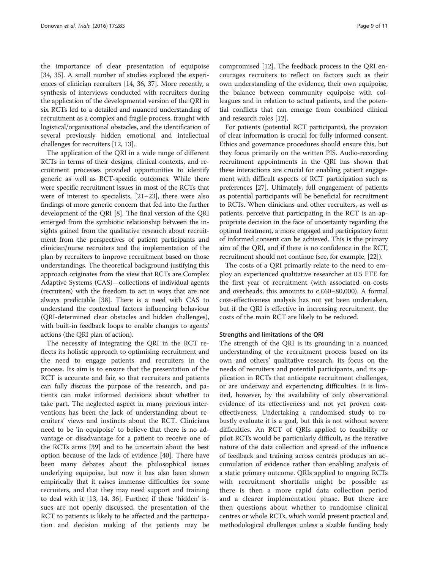the importance of clear presentation of equipoise [[34](#page-10-0), [35\]](#page-10-0). A small number of studies explored the experiences of clinician recruiters [\[14, 36, 37\]](#page-10-0). More recently, a synthesis of interviews conducted with recruiters during the application of the developmental version of the QRI in six RCTs led to a detailed and nuanced understanding of recruitment as a complex and fragile process, fraught with logistical/organisational obstacles, and the identification of several previously hidden emotional and intellectual challenges for recruiters [\[12](#page-10-0), [13](#page-10-0)].

The application of the QRI in a wide range of different RCTs in terms of their designs, clinical contexts, and recruitment processes provided opportunities to identify generic as well as RCT-specific outcomes. While there were specific recruitment issues in most of the RCTs that were of interest to specialists, [[21](#page-10-0)–[23\]](#page-10-0), there were also findings of more generic concern that fed into the further development of the QRI [[8\]](#page-10-0). The final version of the QRI emerged from the symbiotic relationship between the insights gained from the qualitative research about recruitment from the perspectives of patient participants and clinician/nurse recruiters and the implementation of the plan by recruiters to improve recruitment based on those understandings. The theoretical background justifying this approach originates from the view that RCTs are Complex Adaptive Systems (CAS)—collections of individual agents (recruiters) with the freedom to act in ways that are not always predictable [\[38](#page-10-0)]. There is a need with CAS to understand the contextual factors influencing behaviour (QRI-determined clear obstacles and hidden challenges), with built-in feedback loops to enable changes to agents' actions (the QRI plan of action).

The necessity of integrating the QRI in the RCT reflects its holistic approach to optimising recruitment and the need to engage patients and recruiters in the process. Its aim is to ensure that the presentation of the RCT is accurate and fair, so that recruiters and patients can fully discuss the purpose of the research, and patients can make informed decisions about whether to take part. The neglected aspect in many previous interventions has been the lack of understanding about recruiters' views and instincts about the RCT. Clinicians need to be 'in equipoise' to believe that there is no advantage or disadvantage for a patient to receive one of the RCTs arms [[39\]](#page-10-0) and to be uncertain about the best option because of the lack of evidence [\[40](#page-10-0)]. There have been many debates about the philosophical issues underlying equipoise, but now it has also been shown empirically that it raises immense difficulties for some recruiters, and that they may need support and training to deal with it [[13, 14](#page-10-0), [36](#page-10-0)]. Further, if these 'hidden' issues are not openly discussed, the presentation of the RCT to patients is likely to be affected and the participation and decision making of the patients may be

compromised [\[12\]](#page-10-0). The feedback process in the QRI encourages recruiters to reflect on factors such as their own understanding of the evidence, their own equipoise, the balance between community equipoise with colleagues and in relation to actual patients, and the potential conflicts that can emerge from combined clinical and research roles [\[12](#page-10-0)].

For patients (potential RCT participants), the provision of clear information is crucial for fully informed consent. Ethics and governance procedures should ensure this, but they focus primarily on the written PIS. Audio-recording recruitment appointments in the QRI has shown that these interactions are crucial for enabling patient engagement with difficult aspects of RCT participation such as preferences [[27](#page-10-0)]. Ultimately, full engagement of patients as potential participants will be beneficial for recruitment to RCTs. When clinicians and other recruiters, as well as patients, perceive that participating in the RCT is an appropriate decision in the face of uncertainty regarding the optimal treatment, a more engaged and participatory form of informed consent can be achieved. This is the primary aim of the QRI, and if there is no confidence in the RCT, recruitment should not continue (see, for example, [\[22\]](#page-10-0)).

The costs of a QRI primarily relate to the need to employ an experienced qualitative researcher at 0.5 FTE for the first year of recruitment (with associated on-costs and overheads, this amounts to c.£60–80,000). A formal cost-effectiveness analysis has not yet been undertaken, but if the QRI is effective in increasing recruitment, the costs of the main RCT are likely to be reduced.

#### Strengths and limitations of the QRI

The strength of the QRI is its grounding in a nuanced understanding of the recruitment process based on its own and others' qualitative research, its focus on the needs of recruiters and potential participants, and its application in RCTs that anticipate recruitment challenges, or are underway and experiencing difficulties. It is limited, however, by the availability of only observational evidence of its effectiveness and not yet proven costeffectiveness. Undertaking a randomised study to robustly evaluate it is a goal, but this is not without severe difficulties. An RCT of QRIs applied to feasibility or pilot RCTs would be particularly difficult, as the iterative nature of the data collection and spread of the influence of feedback and training across centres produces an accumulation of evidence rather than enabling analysis of a static primary outcome. QRIs applied to ongoing RCTs with recruitment shortfalls might be possible as there is then a more rapid data collection period and a clearer implementation phase. But there are then questions about whether to randomise clinical centres or whole RCTs, which would present practical and methodological challenges unless a sizable funding body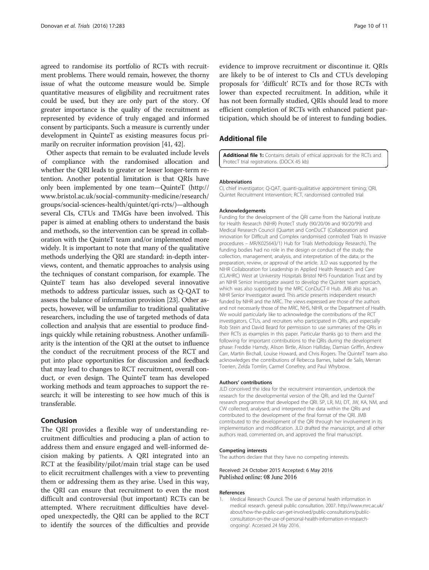<span id="page-9-0"></span>agreed to randomise its portfolio of RCTs with recruitment problems. There would remain, however, the thorny issue of what the outcome measure would be. Simple quantitative measures of eligibility and recruitment rates could be used, but they are only part of the story. Of greater importance is the quality of the recruitment as represented by evidence of truly engaged and informed consent by participants. Such a measure is currently under development in QuinteT as existing measures focus primarily on recruiter information provision [[41](#page-10-0), [42\]](#page-10-0).

Other aspects that remain to be evaluated include levels of compliance with the randomised allocation and whether the QRI leads to greater or lesser longer-term retention. Another potential limitation is that QRIs have only been implemented by one team—QuinteT ([http://](http://www.bristol.ac.uk/social-community-medicine/research/groups/social-sciences-health/quintet/qri-rcts/)%E2%80%94although) [www.bristol.ac.uk/social-community-medicine/research/](http://www.bristol.ac.uk/social-community-medicine/research/groups/social-sciences-health/quintet/qri-rcts/)%E2%80%94although) [groups/social-sciences-health/quintet/qri-rcts/\)](http://www.bristol.ac.uk/social-community-medicine/research/groups/social-sciences-health/quintet/qri-rcts/)%E2%80%94although)—although several CIs, CTUs and TMGs have been involved. This paper is aimed at enabling others to understand the basis and methods, so the intervention can be spread in collaboration with the QuinteT team and/or implemented more widely. It is important to note that many of the qualitative methods underlying the QRI are standard: in-depth interviews, content, and thematic approaches to analysis using the techniques of constant comparison, for example. The QuinteT team has also developed several innovative methods to address particular issues, such as Q-QAT to assess the balance of information provision [[23](#page-10-0)]. Other aspects, however, will be unfamiliar to traditional qualitative researchers, including the use of targeted methods of data collection and analysis that are essential to produce findings quickly while retaining robustness. Another unfamiliarity is the intention of the QRI at the outset to influence the conduct of the recruitment process of the RCT and put into place opportunities for discussion and feedback that may lead to changes to RCT recruitment, overall conduct, or even design. The QuinteT team has developed working methods and team approaches to support the research; it will be interesting to see how much of this is transferable.

# Conclusion

The QRI provides a flexible way of understanding recruitment difficulties and producing a plan of action to address them and ensure engaged and well-informed decision making by patients. A QRI integrated into an RCT at the feasibility/pilot/main trial stage can be used to elicit recruitment challenges with a view to preventing them or addressing them as they arise. Used in this way, the QRI can ensure that recruitment to even the most difficult and controversial (but important) RCTs can be attempted. Where recruitment difficulties have developed unexpectedly, the QRI can be applied to the RCT to identify the sources of the difficulties and provide evidence to improve recruitment or discontinue it. QRIs are likely to be of interest to CIs and CTUs developing proposals for 'difficult' RCTs and for those RCTs with lower than expected recruitment. In addition, while it has not been formally studied, QRIs should lead to more efficient completion of RCTs with enhanced patient participation, which should be of interest to funding bodies.

#### Additional file

[Additional file 1:](dx.doi.org/10.1186/s13063-016-1391-4) Contains details of ethical approvals for the RCTs and ProtecT trial registrations. (DOCX 45 kb)

#### Abbreviations

CI, chief investigator; Q-QAT, quanti-qualitative appointment timing; QRI, Quintet Recruitment Intervention; RCT, randomised controlled trial

#### Acknowledgements

Funding for the development of the QRI came from the National Institute for Health Research (NIHR) ProtecT study (90/20/06 and 90/20/99) and Medical Research Council (Quartet and ConDuCT (Collaboration and innovation for Difficult and Complex randomised controlled Trials In Invasive procedures – MR/K025643/1) Hub for Trials Methodology Research). The funding bodies had no role in the design or conduct of the study; the collection, management, analysis, and interpretation of the data; or the preparation, review, or approval of the article. JLD was supported by the NIHR Collaboration for Leadership in Applied Health Research and Care (CLAHRC) West at University Hospitals Bristol NHS Foundation Trust and by an NIHR Senior Investigator award to develop the Quintet team approach, which was also supported by the MRC ConDuCT-II Hub. JMB also has an NIHR Senior Investigator award. This article presents independent research funded by NIHR and the MRC. The views expressed are those of the authors and not necessarily those of the MRC, NHS, NIHR, or the Department of Health. We would particularly like to acknowledge the contributions of the RCT investigators, CTUs, and recruiters who participated in QRIs, and especially Rob Stein and David Beard for permission to use summaries of the QRIs in their RCTs as examples in this paper. Particular thanks go to them and the following for important contributions to the QRIs during the development phase: Freddie Hamdy, Alison Birtle, Alison Halliday, Damian Griffin, Andrew Carr, Martin Birchall, Louise Howard, and Chris Rogers. The QuinteT team also acknowledges the contributions of Rebecca Barnes, Isabel de Salis, Merran Toerien, Zelda Tomlin, Carmel Conefrey, and Paul Whybrow.

#### Authors' contributions

JLD conceived the idea for the recruitment intervention, undertook the research for the developmental version of the QRI, and led the QuinteT research programme that developed the QRI. SP, LR, MJ, DT, JW, KA, NM, and CW collected, analysed, and interpreted the data within the QRIs and contributed to the development of the final format of the QRI. JMB contributed to the development of the QRI through her involvement in its implementation and modification. JLD drafted the manuscript, and all other authors read, commented on, and approved the final manuscript.

#### Competing interests

The authors declare that they have no competing interests.

Received: 24 October 2015 Accepted: 6 May 2016 Published online: 08 June 2016

#### References

1. Medical Research Council. The use of personal health information in medical research. general public consultation. 2007. [http://www.mrc.ac.uk/](http://www.mrc.ac.uk/about/how-the-public-can-get-involved/public-consultations/public-consultation-on-the-use-of-personal-health-information-in-research-ongoing/) [about/how-the-public-can-get-involved/public-consultations/public](http://www.mrc.ac.uk/about/how-the-public-can-get-involved/public-consultations/public-consultation-on-the-use-of-personal-health-information-in-research-ongoing/)[consultation-on-the-use-of-personal-health-information-in-research](http://www.mrc.ac.uk/about/how-the-public-can-get-involved/public-consultations/public-consultation-on-the-use-of-personal-health-information-in-research-ongoing/)[ongoing/.](http://www.mrc.ac.uk/about/how-the-public-can-get-involved/public-consultations/public-consultation-on-the-use-of-personal-health-information-in-research-ongoing/) Accessed 24 May 2016.